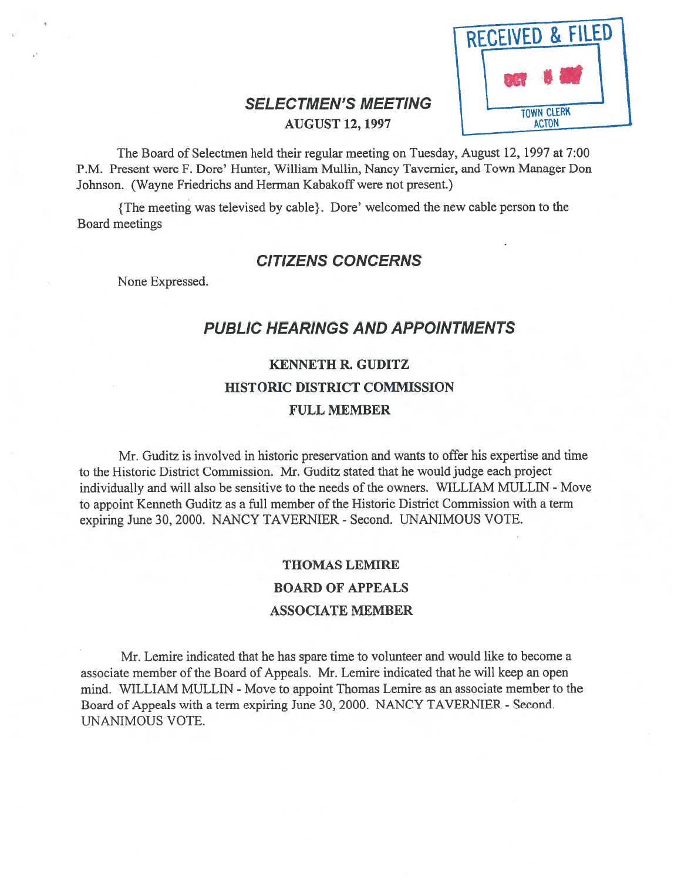

### SELECTMEN'S MEETING AUGUST 12, 1997

The Board of Selectmen held their regular meeting on Tuesday, August 12, 1997 at 7:00 P.M. Present were F. Dore' Hunter, William Mullin, Nancy Tavemier, and Town Manager Don Johnson. (Wayne Friedrichs and Herman Kabakoff were not present.)

{ The meeting was televised by cable}. Dore' welcomed the new cable person to the Board meetings

### CITIZENS CONCERNS

None Expressed.

### PUBLIC HEARINGS AND APPOINTMENTS

# KENNETH R. GUDITZ HISTORIC DISTRICT COMMISSION FULL MEMBER

Mr. Guditz is involved in historic preservation and wants to offer his expertise and time to the Historic District Commission. Mr. Guditz stated that he would judge each project individually and will also be sensitive to the needs of the owners. WILLIAM MULLIN - Move to appoint Kenneth Guditz as <sup>a</sup> full member of the Historic District Commission with <sup>a</sup> term expiring June 30, 2000. NANCY TAVERNIER - Second. UNANIMOUS VOTE.

## THOMAS LEMIRE BOARD OF APPEALS ASSOCIATE MEMBER

Mr. Lemire indicated that he has spare time to volunteer and would like to become <sup>a</sup> associate member of the Board of Appeals. Mr. Lemire indicated that he will keep an open mind. WILLIAM MULLIN - Move to appoint Thomas Lemire as an associate member to the Board of Appeals with <sup>a</sup> term expiring June 30, 2000. NANCY TAVERNIER - Second. UNANIMOUS VOTE.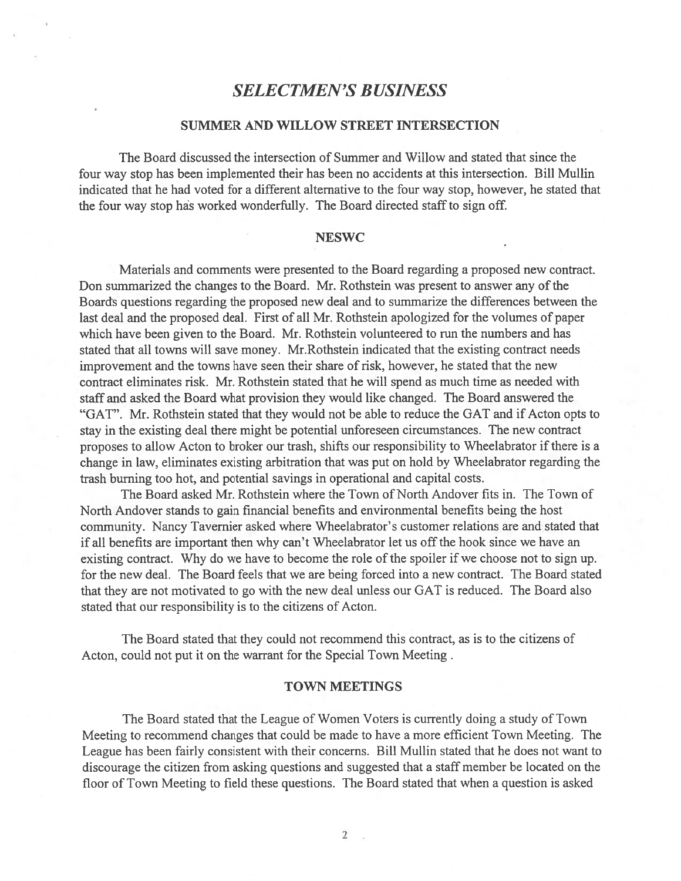### SELECTMEN'S BUSINESS

### SUMMER AND WILLOW STREET INTERSECTION

The Board discussed the intersection of Summer and Willow and stated that since the four way stop has been implemented their has been no accidents at this intersection. Bill Mullin indicated that he had voted for <sup>a</sup> different alternative to the four way stop, however, he stated that the four way stop has worked wonderfully. The Board directed staff to sign off.

#### **NESWC**

Materials and comments were presented to the Board regarding <sup>a</sup> proposed new contract. Don summarized the changes to the Board. Mr. Rothstein was present to answer any of the Boards questions regarding the proposed new deal and to summarize the differences between the last deal and the proposed deal. first of all Mr. Rothstein apologized for the volumes of paper which have been given to the Board. Mr. Rothstein volunteered to run the numbers and has stated that all towns will save money. Mr.Rothstein indicated that the existing contract needs improvement and the towns have seen their share of risk, however, he stated that the new contract eliminates risk. Mr. Rothstein stated that he will spend as much time as needed with staff and asked the Board what provision they would like changed. The Board answered the "GAT". Mr. Rothstein stated that they would not be able to reduce the GAT and if Acton opts to stay in the existing deal there might be potential unforeseen circumstances. The new contract proposes to allow Acton to broker our trash, shifts our responsibility to Wheelabrator if there is a change in law, eliminates existing arbitration that was pu<sup>t</sup> on hold by Wheelabrator regarding the trash burning too hot, and potential savings in operational and capital costs.

The Board asked Mr. Rothstein where the Town of North Andover fits in. The Town of North Andover stands to gain financial benefits and environmental benefits being the host community. Nancy Tavernier asked where Wheelabrator's customer relations are and stated that if all benefits are important then why can't Wheelabrator let us off the hook since we have an existing contract. Why do we have to become the role of the spoiler if we choose not to sign up. for the new deal. The Board feels that we are being forced into <sup>a</sup> new contract. The Board stated that they are not motivated to go with the new deal unless our GAT is reduced. The Board also stated that our responsibility is to the citizens of Acton.

The Board stated that they could not recommend this contract, as is to the citizens of Acton, could not pu<sup>t</sup> it on the warrant for the Special Town Meeting.

#### TOWN MEETINGS

The Board stated that the League of Women Voters is currently doing <sup>a</sup> study of Town Meeting to recommend changes that could be made to have <sup>a</sup> more efficient Town Meeting. The League has been fairly consistent with their concerns. Bill Mullin stated that he does not want to discourage the citizen from asking questions and suggested that <sup>a</sup> staff member be located on the floor of Town Meeting to field these questions. The Board stated that when <sup>a</sup> question is asked

 $\sim$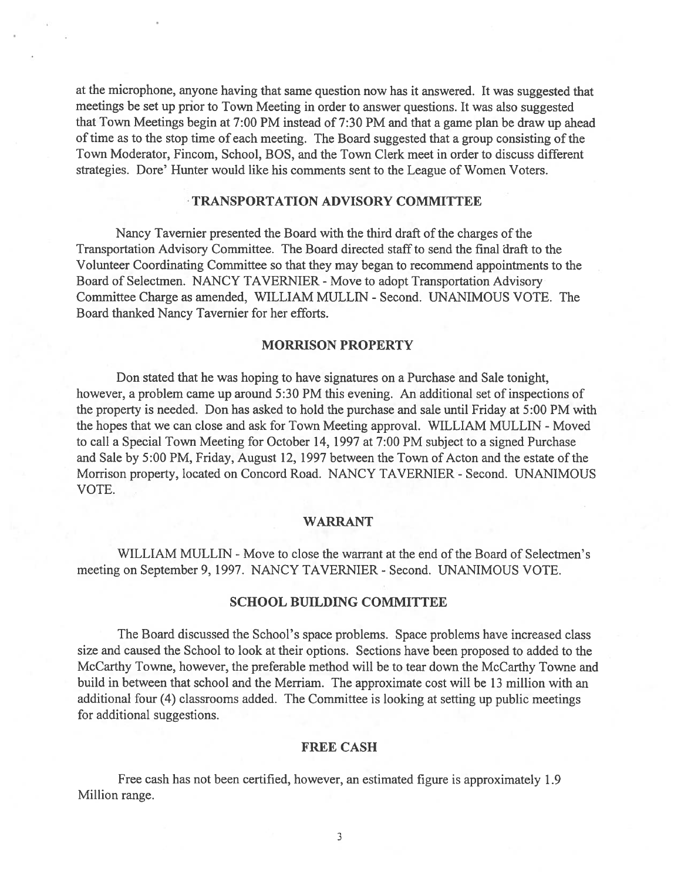at the microphone, anyone having that same question now has it answered. It was suggested that meetings be set up prior to Town Meeting in order to answer questions. It was also suggested that Town Meetings begin at 7:00 PM instead of 7:30 PM and that <sup>a</sup> game <sup>p</sup>lan be draw up ahead of time as to the stop time of each meeting. The Board suggested that <sup>a</sup> group consisting of the Town Moderator, Fincom, School, BOS, and the Town Clerk meet in order to discuss different strategies. Dore' Hunter would like his comments sent to the League of Women Voters.

#### TRANSPORTATION ADVISORY COMMITTEE

Nancy Tavemier presented the Board with the third draft of the charges of the Transportation Advisory Committee. The Board directed staffto send the final draft to the Volunteer Coordinating Committee so that they may began to recommend appointments to the Board of Selectmen. NANCY TAVERNIER - Move to adopt Transportation Advisory Committee Charge as amended, WILLIAM MULLEN - Second. UNANIMOUS VOTE. The Board thanked Nancy Tavernier for her efforts.

#### MORRISON PROPERTY

Don stated that he was hoping to have signatures on <sup>a</sup> Purchase and Sale tonight, however, <sup>a</sup> problem came up around 5:30 PM this evening. An additional set of inspections of the property is needed. Don has asked to hold the purchase and sale until Friday at 5:00 PM with the hopes that we can close and ask for Town Meeting approval. WILLIAM MULLIN - Moved to call <sup>a</sup> Special Town Meeting for October 14, 1997 at 7:00 PM subject to <sup>a</sup> signed Purchase and Sale by 5:00 PM, Friday, August 12, 1997 between the Town of Acton and the estate of the Morrison property, located on Concord Road. NANCY TAVERNIER - Second. UNANIMOUS VOTE.

#### WARRANT

WILLIAM MULLIN - Move to close the warrant at the end of the Board of Selectmen's meeting on September 9, 1997. NANCY TAVERNIER - Second. UNANIMOUS VOTE.

### SCHOOL BUILDING COMMITTEE

The Board discussed the School's space problems. Space problems have increased class size and caused the School to look at their options. Sections have been proposed to added to the McCarthy Towne, however, the preferable method will be to tear down the McCarthy Towne and build in between that school and the Merriam. The approximate cost will be 13 million with an additional four (4) classrooms added. The Committee is looking at setting up public meetings for additional suggestions.

#### FREE CASH

Free cash has not been certified, however, an estimated figure is approximately 1.9 Million range.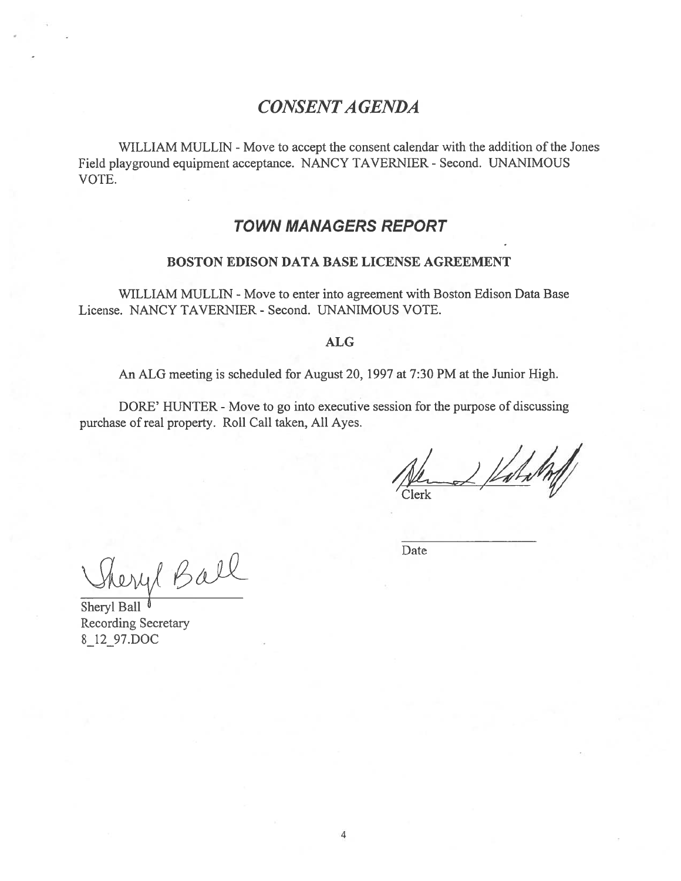## CONSENTA GENDA

WILLIAM MULLIN - Move to accept the consent calendar with the addition of the Jones Field playground equipment acceptance. NANCY TAVERNIER - Second. UNANIMOUS VOTE.

### TOWN MANAGERS REPORT

#### BOSTON EDISON DATA BASE LICENSE AGREEMENT

WILLIAM MULLIN - Move to enter into agreement with Boston Edison Data Base License. NANCY TAVERNIER - Second. UNANIMOUS VOTE.

#### ALG

An ALG meeting is scheduled for August 20, 1997 at 7:30 PM at the Junior High.

DORE' HUNTER - Move to go into executive session for the purpose of discussing purchase of real property. Roll Call taken, All Ayes.

Valal

Thery Ball

Date

Sheryl Ball<sup>0</sup> Recording Secretary 8\_12\_97.DOC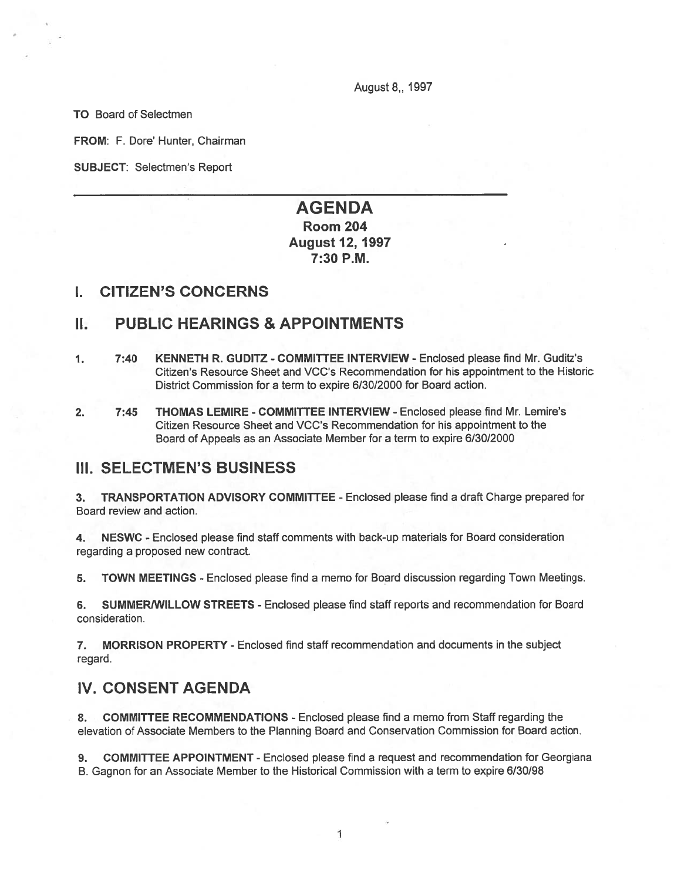August 8,, 1997

TO Board of Selectmen

FROM: F. Dore' Hunter, Chairman

SUBJECT: Selectmen's Report

### AGENDA Room 204 August 12, 1997 7:30 P.M.

### I. CITIZEN'S CONCERNS

### II. PUBLIC HEARINGS & APPOINTMENTS

- 1. 7:40 KENNETH R. GUDITZ -COMMITTEE INTERVIEW Enclosed please find Mr. Guditz's Citizen's Resource Sheet and VCC's Recommendation for his appointment to the Historic District Commission for <sup>a</sup> term to expire 6/30/2000 for Board action.
- 2. 7:45 THOMAS LEMIRE COMMITTEE INTERVIEW Enclosed please find Mr. Lemire's Citizen Resource Sheet and VCC's Recommendation for his appointment to the Board of Appeals as an Associate Member for <sup>a</sup> term to expire 6/30/2000

### III. SELECTMEN'S BUSINESS

3. TRANSPORTATION ADVISORY COMMITTEE - Enclosed please find <sup>a</sup> draft Charge prepared for Board review and action.

4. NESWC - Enclosed please find staff comments with back-up materials for Board consideration regarding <sup>a</sup> proposed new contract.

5. TOWN MEETINGS - Enclosed please find <sup>a</sup> memo for Board discussion regarding Town Meetings.

6. SUMMERIWILLOW STREETS - Enclosed please find staff reports and recommendation for Board consideration.

7. MORRISON PROPERTY - Enclosed find staff recommendation and documents in the subject regard.

### IV. CONSENT AGENDA

8. COMMITTEE RECOMMENDATIONS - Enclosed please find <sup>a</sup> memo from Staff regarding the elevation of Associate Members to the Planning Board and Conservation Commission for Board action.

9. COMMITTEE APPOINTMENT -Enclosed please find <sup>a</sup> reques<sup>t</sup> and recommendation for Georgiana B. Gagnon for an Associate Member to the Historical Commission with <sup>a</sup> term to expire 6/30/98